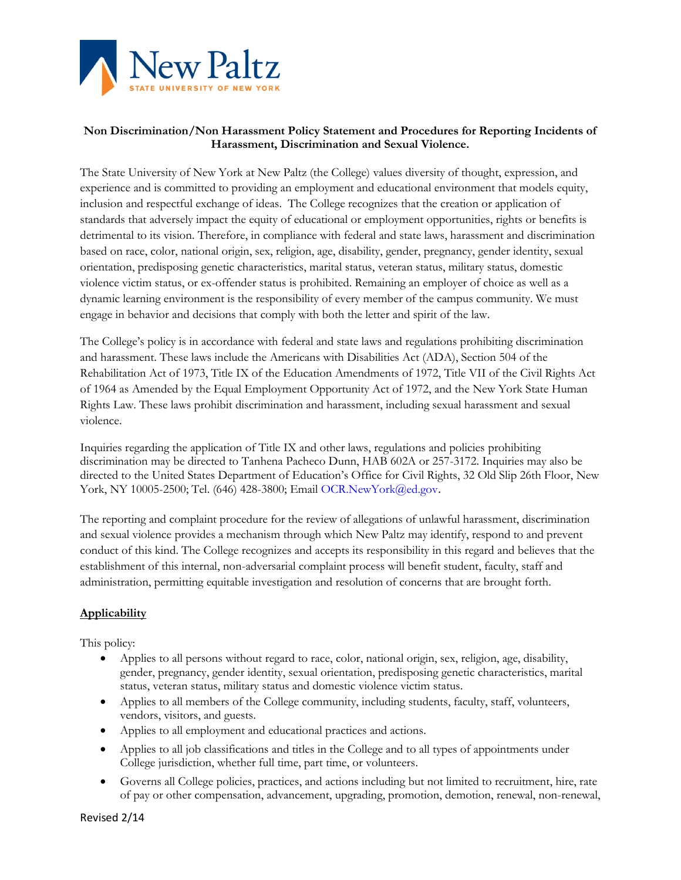

# **Non Discrimination/Non Harassment Policy Statement and Procedures for Reporting Incidents of Harassment, Discrimination and Sexual Violence.**

The State University of New York at New Paltz (the College) values diversity of thought, expression, and experience and is committed to providing an employment and educational environment that models equity, inclusion and respectful exchange of ideas. The College recognizes that the creation or application of standards that adversely impact the equity of educational or employment opportunities, rights or benefits is detrimental to its vision. Therefore, in compliance with federal and state laws, harassment and discrimination based on race, color, national origin, sex, religion, age, disability, gender, pregnancy, gender identity, sexual orientation, predisposing genetic characteristics, marital status, veteran status, military status, domestic violence victim status, or ex-offender status is prohibited. Remaining an employer of choice as well as a dynamic learning environment is the responsibility of every member of the campus community. We must engage in behavior and decisions that comply with both the letter and spirit of the law.

The College's policy is in accordance with federal and state laws and regulations prohibiting discrimination and harassment. These laws include the Americans with Disabilities Act (ADA), Section 504 of the Rehabilitation Act of 1973, Title IX of the Education Amendments of 1972, Title VII of the Civil Rights Act of 1964 as Amended by the Equal Employment Opportunity Act of 1972, and the New York State Human Rights Law. These laws prohibit discrimination and harassment, including sexual harassment and sexual violence.

Inquiries regarding the application of Title IX and other laws, regulations and policies prohibiting discrimination may be directed to Tanhena Pacheco Dunn, HAB 602A or 257-3172. Inquiries may also be directed to the United States Department of Education's Office for Civil Rights, 32 Old Slip 26th Floor, New York, NY 10005-2500; Tel. (646) 428-3800; Email OCR.NewYork@ed.gov.

The reporting and complaint procedure for the review of allegations of unlawful harassment, discrimination and sexual violence provides a mechanism through which New Paltz may identify, respond to and prevent conduct of this kind. The College recognizes and accepts its responsibility in this regard and believes that the establishment of this internal, non-adversarial complaint process will benefit student, faculty, staff and administration, permitting equitable investigation and resolution of concerns that are brought forth.

# **Applicability**

This policy:

- Applies to all persons without regard to race, color, national origin, sex, religion, age, disability, gender, pregnancy, gender identity, sexual orientation, predisposing genetic characteristics, marital status, veteran status, military status and domestic violence victim status.
- Applies to all members of the College community, including students, faculty, staff, volunteers, vendors, visitors, and guests.
- Applies to all employment and educational practices and actions.
- Applies to all job classifications and titles in the College and to all types of appointments under College jurisdiction, whether full time, part time, or volunteers.
- Governs all College policies, practices, and actions including but not limited to recruitment, hire, rate of pay or other compensation, advancement, upgrading, promotion, demotion, renewal, non-renewal,

Revised 2/14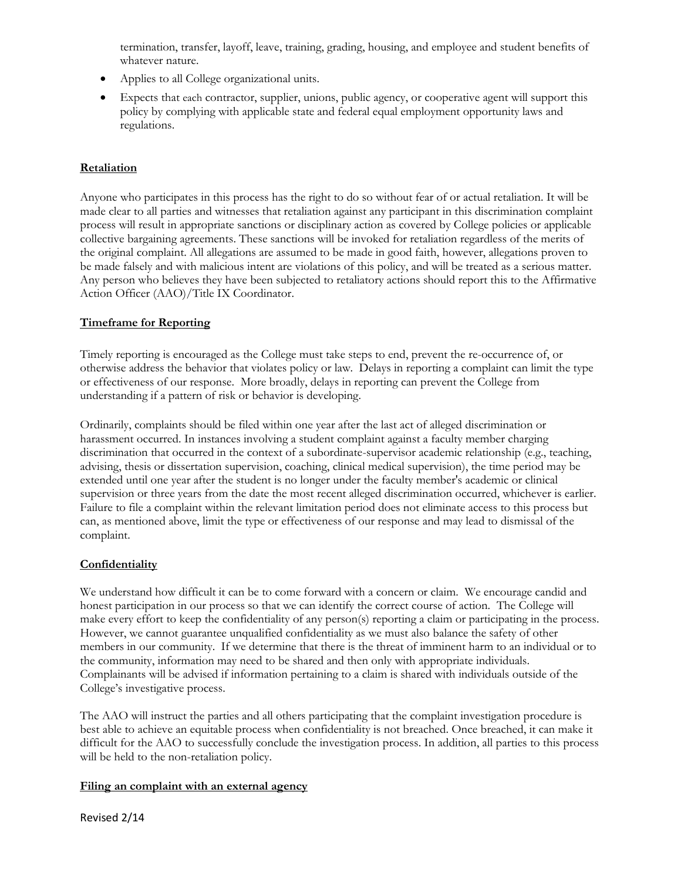termination, transfer, layoff, leave, training, grading, housing, and employee and student benefits of whatever nature.

- Applies to all College organizational units.
- Expects that each contractor, supplier, unions, public agency, or cooperative agent will support this policy by complying with applicable state and federal equal employment opportunity laws and regulations.

# **Retaliation**

Anyone who participates in this process has the right to do so without fear of or actual retaliation. It will be made clear to all parties and witnesses that retaliation against any participant in this discrimination complaint process will result in appropriate sanctions or disciplinary action as covered by College policies or applicable collective bargaining agreements. These sanctions will be invoked for retaliation regardless of the merits of the original complaint. All allegations are assumed to be made in good faith, however, allegations proven to be made falsely and with malicious intent are violations of this policy, and will be treated as a serious matter. Any person who believes they have been subjected to retaliatory actions should report this to the Affirmative Action Officer (AAO)/Title IX Coordinator.

# **Timeframe for Reporting**

Timely reporting is encouraged as the College must take steps to end, prevent the re-occurrence of, or otherwise address the behavior that violates policy or law. Delays in reporting a complaint can limit the type or effectiveness of our response. More broadly, delays in reporting can prevent the College from understanding if a pattern of risk or behavior is developing.

Ordinarily, complaints should be filed within one year after the last act of alleged discrimination or harassment occurred. In instances involving a student complaint against a faculty member charging discrimination that occurred in the context of a subordinate-supervisor academic relationship (e.g., teaching, advising, thesis or dissertation supervision, coaching, clinical medical supervision), the time period may be extended until one year after the student is no longer under the faculty member's academic or clinical supervision or three years from the date the most recent alleged discrimination occurred, whichever is earlier. Failure to file a complaint within the relevant limitation period does not eliminate access to this process but can, as mentioned above, limit the type or effectiveness of our response and may lead to dismissal of the complaint.

# **Confidentiality**

We understand how difficult it can be to come forward with a concern or claim. We encourage candid and honest participation in our process so that we can identify the correct course of action. The College will make every effort to keep the confidentiality of any person(s) reporting a claim or participating in the process. However, we cannot guarantee unqualified confidentiality as we must also balance the safety of other members in our community. If we determine that there is the threat of imminent harm to an individual or to the community, information may need to be shared and then only with appropriate individuals. Complainants will be advised if information pertaining to a claim is shared with individuals outside of the College's investigative process.

The AAO will instruct the parties and all others participating that the complaint investigation procedure is best able to achieve an equitable process when confidentiality is not breached. Once breached, it can make it difficult for the AAO to successfully conclude the investigation process. In addition, all parties to this process will be held to the non-retaliation policy.

#### **Filing an complaint with an external agency**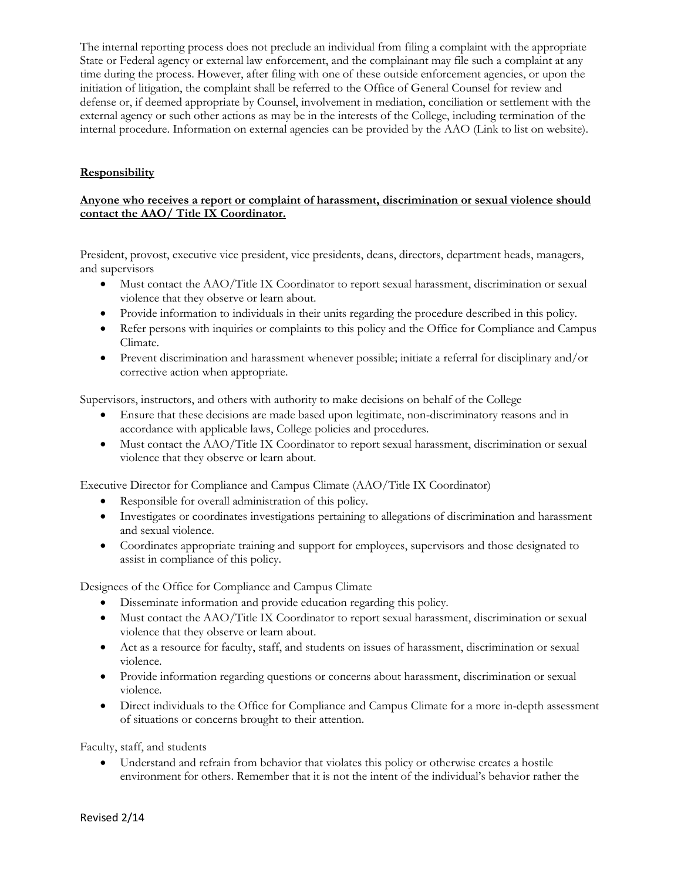The internal reporting process does not preclude an individual from filing a complaint with the appropriate State or Federal agency or external law enforcement, and the complainant may file such a complaint at any time during the process. However, after filing with one of these outside enforcement agencies, or upon the initiation of litigation, the complaint shall be referred to the Office of General Counsel for review and defense or, if deemed appropriate by Counsel, involvement in mediation, conciliation or settlement with the external agency or such other actions as may be in the interests of the College, including termination of the internal procedure. Information on external agencies can be provided by the AAO (Link to list on website).

# **Responsibility**

### **Anyone who receives a report or complaint of harassment, discrimination or sexual violence should contact the AAO/ Title IX Coordinator.**

President, provost, executive vice president, vice presidents, deans, directors, department heads, managers, and supervisors

- Must contact the AAO/Title IX Coordinator to report sexual harassment, discrimination or sexual violence that they observe or learn about.
- Provide information to individuals in their units regarding the procedure described in this policy.
- Refer persons with inquiries or complaints to this policy and the Office for Compliance and Campus Climate.
- Prevent discrimination and harassment whenever possible; initiate a referral for disciplinary and/or corrective action when appropriate.

Supervisors, instructors, and others with authority to make decisions on behalf of the College

- Ensure that these decisions are made based upon legitimate, non-discriminatory reasons and in accordance with applicable laws, College policies and procedures.
- Must contact the AAO/Title IX Coordinator to report sexual harassment, discrimination or sexual violence that they observe or learn about.

Executive Director for Compliance and Campus Climate (AAO/Title IX Coordinator)

- Responsible for overall administration of this policy.
- Investigates or coordinates investigations pertaining to allegations of discrimination and harassment and sexual violence.
- Coordinates appropriate training and support for employees, supervisors and those designated to assist in compliance of this policy.

Designees of the Office for Compliance and Campus Climate

- Disseminate information and provide education regarding this policy.
- Must contact the AAO/Title IX Coordinator to report sexual harassment, discrimination or sexual violence that they observe or learn about.
- Act as a resource for faculty, staff, and students on issues of harassment, discrimination or sexual violence.
- Provide information regarding questions or concerns about harassment, discrimination or sexual violence.
- Direct individuals to the Office for Compliance and Campus Climate for a more in-depth assessment of situations or concerns brought to their attention.

Faculty, staff, and students

 Understand and refrain from behavior that violates this policy or otherwise creates a hostile environment for others. Remember that it is not the intent of the individual's behavior rather the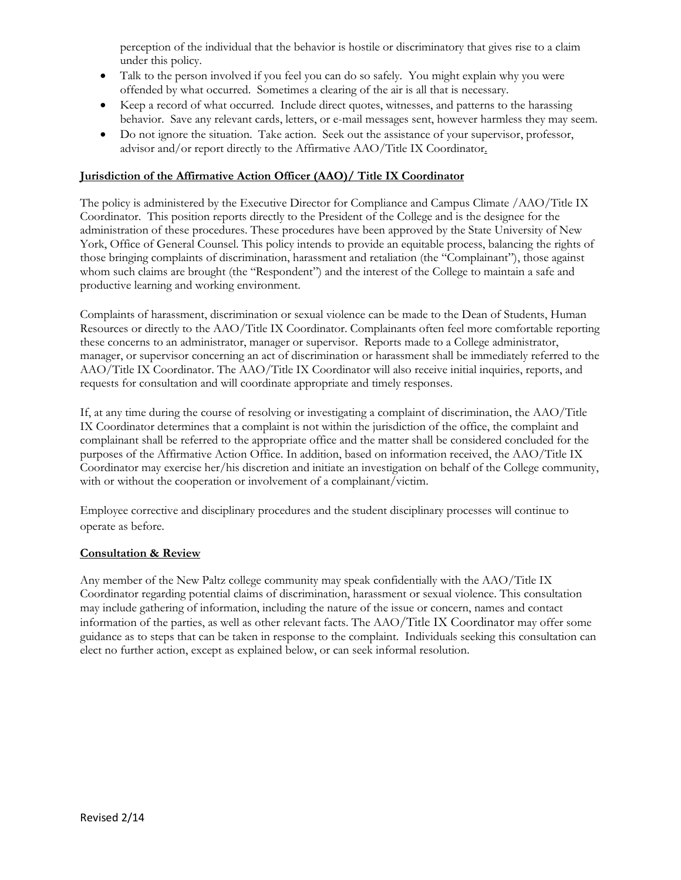perception of the individual that the behavior is hostile or discriminatory that gives rise to a claim under this policy.

- Talk to the person involved if you feel you can do so safely. You might explain why you were offended by what occurred. Sometimes a clearing of the air is all that is necessary.
- Keep a record of what occurred. Include direct quotes, witnesses, and patterns to the harassing behavior. Save any relevant cards, letters, or e-mail messages sent, however harmless they may seem.
- Do not ignore the situation. Take action. Seek out the assistance of your supervisor, professor, advisor and/or report directly to the Affirmative AAO/Title IX Coordinator.

#### **Jurisdiction of the Affirmative Action Officer (AAO)/ Title IX Coordinator**

The policy is administered by the Executive Director for Compliance and Campus Climate /AAO/Title IX Coordinator. This position reports directly to the President of the College and is the designee for the administration of these procedures. These procedures have been approved by the State University of New York, Office of General Counsel. This policy intends to provide an equitable process, balancing the rights of those bringing complaints of discrimination, harassment and retaliation (the "Complainant"), those against whom such claims are brought (the "Respondent") and the interest of the College to maintain a safe and productive learning and working environment.

Complaints of harassment, discrimination or sexual violence can be made to the Dean of Students, Human Resources or directly to the AAO/Title IX Coordinator. Complainants often feel more comfortable reporting these concerns to an administrator, manager or supervisor. Reports made to a College administrator, manager, or supervisor concerning an act of discrimination or harassment shall be immediately referred to the AAO/Title IX Coordinator. The AAO/Title IX Coordinator will also receive initial inquiries, reports, and requests for consultation and will coordinate appropriate and timely responses.

If, at any time during the course of resolving or investigating a complaint of discrimination, the AAO/Title IX Coordinator determines that a complaint is not within the jurisdiction of the office, the complaint and complainant shall be referred to the appropriate office and the matter shall be considered concluded for the purposes of the Affirmative Action Office. In addition, based on information received, the AAO/Title IX Coordinator may exercise her/his discretion and initiate an investigation on behalf of the College community, with or without the cooperation or involvement of a complainant/victim.

Employee corrective and disciplinary procedures and the student disciplinary processes will continue to operate as before.

#### **Consultation & Review**

Any member of the New Paltz college community may speak confidentially with the AAO/Title IX Coordinator regarding potential claims of discrimination, harassment or sexual violence. This consultation may include gathering of information, including the nature of the issue or concern, names and contact information of the parties, as well as other relevant facts. The AAO/Title IX Coordinator may offer some guidance as to steps that can be taken in response to the complaint. Individuals seeking this consultation can elect no further action, except as explained below, or can seek informal resolution.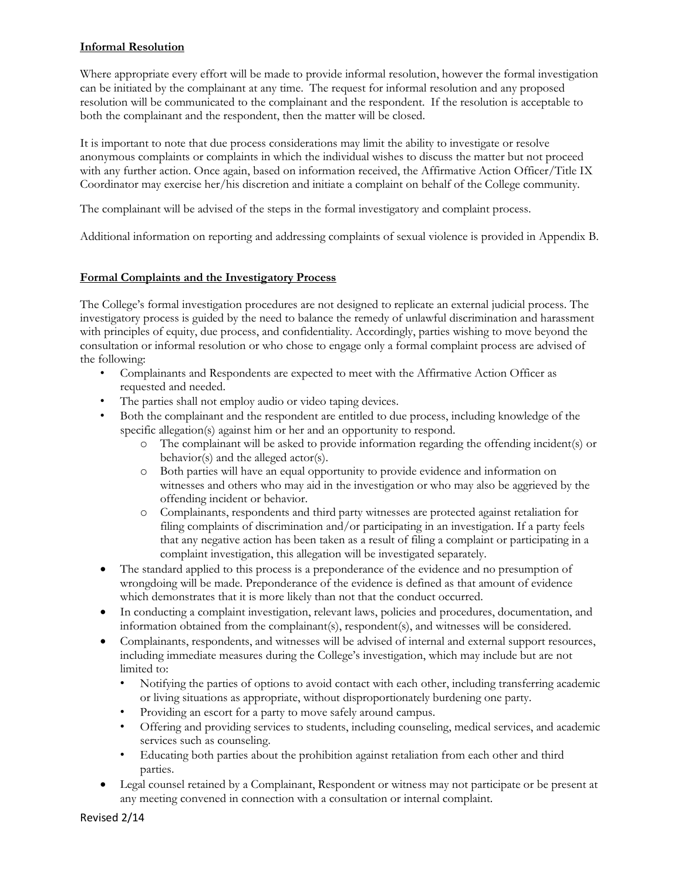### **Informal Resolution**

Where appropriate every effort will be made to provide informal resolution, however the formal investigation can be initiated by the complainant at any time. The request for informal resolution and any proposed resolution will be communicated to the complainant and the respondent. If the resolution is acceptable to both the complainant and the respondent, then the matter will be closed.

It is important to note that due process considerations may limit the ability to investigate or resolve anonymous complaints or complaints in which the individual wishes to discuss the matter but not proceed with any further action. Once again, based on information received, the Affirmative Action Officer/Title IX Coordinator may exercise her/his discretion and initiate a complaint on behalf of the College community.

The complainant will be advised of the steps in the formal investigatory and complaint process.

Additional information on reporting and addressing complaints of sexual violence is provided in Appendix B.

### **Formal Complaints and the Investigatory Process**

The College's formal investigation procedures are not designed to replicate an external judicial process. The investigatory process is guided by the need to balance the remedy of unlawful discrimination and harassment with principles of equity, due process, and confidentiality. Accordingly, parties wishing to move beyond the consultation or informal resolution or who chose to engage only a formal complaint process are advised of the following:

- Complainants and Respondents are expected to meet with the Affirmative Action Officer as requested and needed.
- The parties shall not employ audio or video taping devices.
- Both the complainant and the respondent are entitled to due process, including knowledge of the specific allegation(s) against him or her and an opportunity to respond.
	- o The complainant will be asked to provide information regarding the offending incident(s) or behavior(s) and the alleged actor(s).
	- o Both parties will have an equal opportunity to provide evidence and information on witnesses and others who may aid in the investigation or who may also be aggrieved by the offending incident or behavior.
	- o Complainants, respondents and third party witnesses are protected against retaliation for filing complaints of discrimination and/or participating in an investigation. If a party feels that any negative action has been taken as a result of filing a complaint or participating in a complaint investigation, this allegation will be investigated separately.
- The standard applied to this process is a preponderance of the evidence and no presumption of wrongdoing will be made. Preponderance of the evidence is defined as that amount of evidence which demonstrates that it is more likely than not that the conduct occurred.
- In conducting a complaint investigation, relevant laws, policies and procedures, documentation, and information obtained from the complainant(s), respondent(s), and witnesses will be considered.
- Complainants, respondents, and witnesses will be advised of internal and external support resources, including immediate measures during the College's investigation, which may include but are not limited to:
	- Notifying the parties of options to avoid contact with each other, including transferring academic or living situations as appropriate, without disproportionately burdening one party.
	- Providing an escort for a party to move safely around campus.
	- Offering and providing services to students, including counseling, medical services, and academic services such as counseling.
	- Educating both parties about the prohibition against retaliation from each other and third parties.
- Legal counsel retained by a Complainant, Respondent or witness may not participate or be present at any meeting convened in connection with a consultation or internal complaint.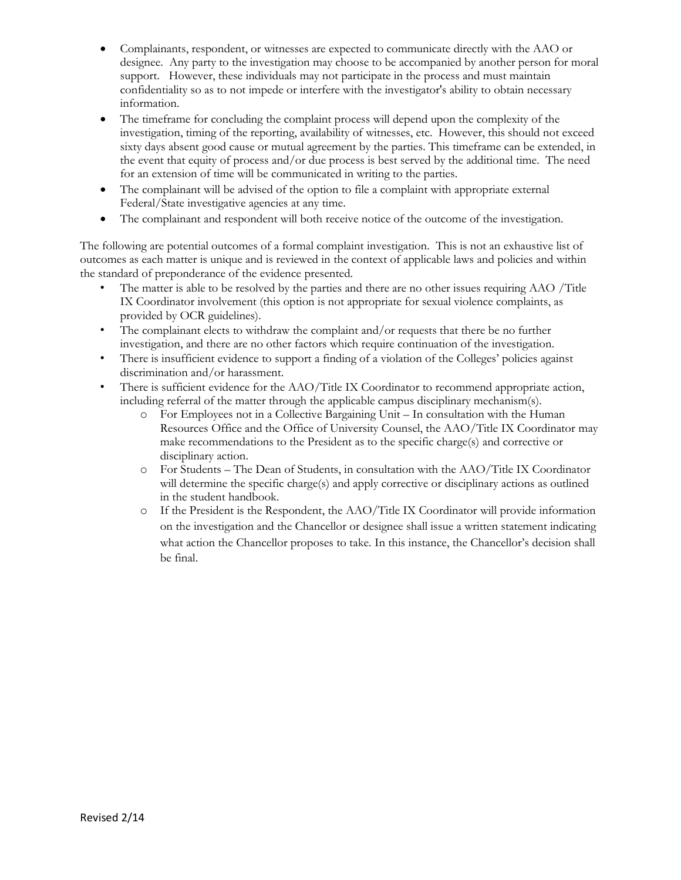- Complainants, respondent, or witnesses are expected to communicate directly with the AAO or designee. Any party to the investigation may choose to be accompanied by another person for moral support. However, these individuals may not participate in the process and must maintain confidentiality so as to not impede or interfere with the investigator's ability to obtain necessary information.
- The timeframe for concluding the complaint process will depend upon the complexity of the investigation, timing of the reporting, availability of witnesses, etc. However, this should not exceed sixty days absent good cause or mutual agreement by the parties. This timeframe can be extended, in the event that equity of process and/or due process is best served by the additional time. The need for an extension of time will be communicated in writing to the parties.
- The complainant will be advised of the option to file a complaint with appropriate external Federal/State investigative agencies at any time.
- The complainant and respondent will both receive notice of the outcome of the investigation.

The following are potential outcomes of a formal complaint investigation. This is not an exhaustive list of outcomes as each matter is unique and is reviewed in the context of applicable laws and policies and within the standard of preponderance of the evidence presented.

- The matter is able to be resolved by the parties and there are no other issues requiring AAO /Title IX Coordinator involvement (this option is not appropriate for sexual violence complaints, as provided by OCR guidelines).
- The complainant elects to withdraw the complaint and/or requests that there be no further investigation, and there are no other factors which require continuation of the investigation.
- There is insufficient evidence to support a finding of a violation of the Colleges' policies against discrimination and/or harassment.
- There is sufficient evidence for the AAO/Title IX Coordinator to recommend appropriate action, including referral of the matter through the applicable campus disciplinary mechanism(s).
	- o For Employees not in a Collective Bargaining Unit In consultation with the Human Resources Office and the Office of University Counsel, the AAO/Title IX Coordinator may make recommendations to the President as to the specific charge(s) and corrective or disciplinary action.
	- o For Students The Dean of Students, in consultation with the AAO/Title IX Coordinator will determine the specific charge(s) and apply corrective or disciplinary actions as outlined in the student handbook.
	- o If the President is the Respondent, the AAO/Title IX Coordinator will provide information on the investigation and the Chancellor or designee shall issue a written statement indicating what action the Chancellor proposes to take. In this instance, the Chancellor's decision shall be final.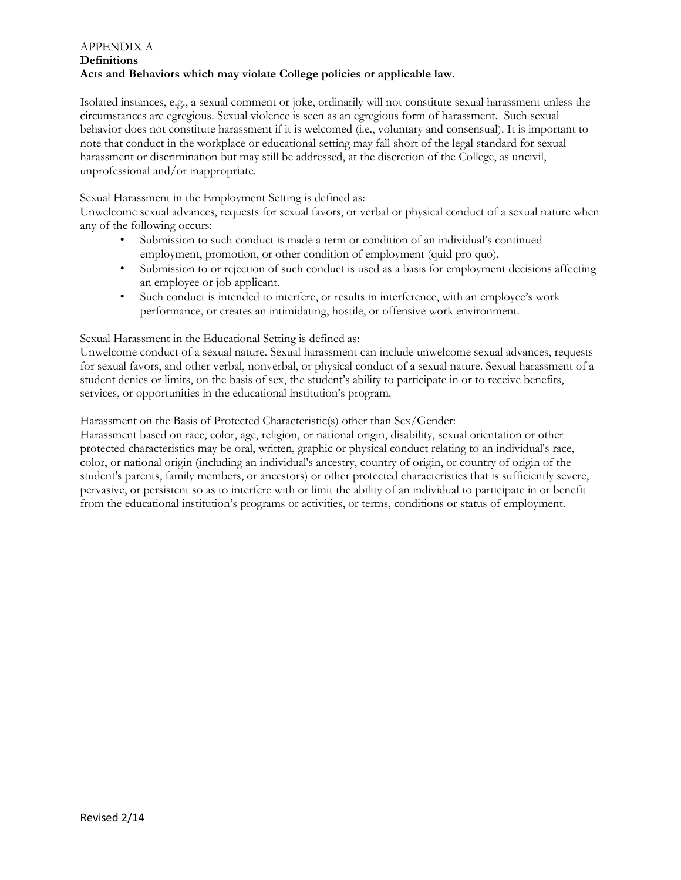#### APPENDIX A **Definitions Acts and Behaviors which may violate College policies or applicable law.**

Isolated instances, e.g., a sexual comment or joke, ordinarily will not constitute sexual harassment unless the circumstances are egregious. Sexual violence is seen as an egregious form of harassment. Such sexual behavior does not constitute harassment if it is welcomed (i.e., voluntary and consensual). It is important to note that conduct in the workplace or educational setting may fall short of the legal standard for sexual harassment or discrimination but may still be addressed, at the discretion of the College, as uncivil, unprofessional and/or inappropriate.

### Sexual Harassment in the Employment Setting is defined as:

Unwelcome sexual advances, requests for sexual favors, or verbal or physical conduct of a sexual nature when any of the following occurs:

- Submission to such conduct is made a term or condition of an individual's continued employment, promotion, or other condition of employment (quid pro quo).
- Submission to or rejection of such conduct is used as a basis for employment decisions affecting an employee or job applicant.
- Such conduct is intended to interfere, or results in interference, with an employee's work performance, or creates an intimidating, hostile, or offensive work environment.

#### Sexual Harassment in the Educational Setting is defined as:

Unwelcome conduct of a sexual nature. Sexual harassment can include unwelcome sexual advances, requests for sexual favors, and other verbal, nonverbal, or physical conduct of a sexual nature. Sexual harassment of a student denies or limits, on the basis of sex, the student's ability to participate in or to receive benefits, services, or opportunities in the educational institution's program.

Harassment on the Basis of Protected Characteristic(s) other than Sex/Gender:

Harassment based on race, color, age, religion, or national origin, disability, sexual orientation or other protected characteristics may be oral, written, graphic or physical conduct relating to an individual's race, color, or national origin (including an individual's ancestry, country of origin, or country of origin of the student's parents, family members, or ancestors) or other protected characteristics that is sufficiently severe, pervasive, or persistent so as to interfere with or limit the ability of an individual to participate in or benefit from the educational institution's programs or activities, or terms, conditions or status of employment.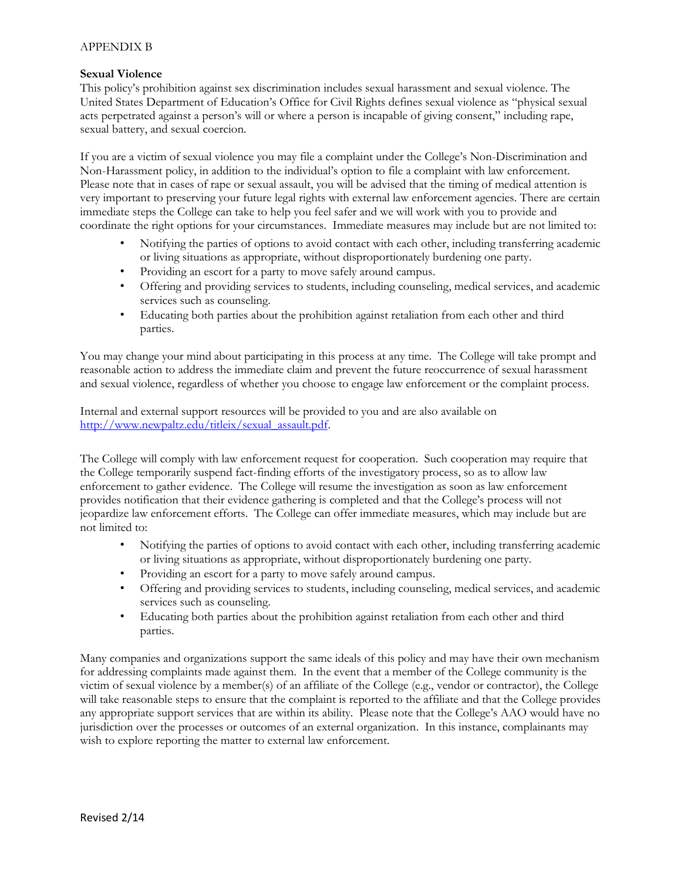#### APPENDIX B

#### **Sexual Violence**

This policy's prohibition against sex discrimination includes sexual harassment and sexual violence. The United States Department of Education's Office for Civil Rights defines sexual violence as "physical sexual acts perpetrated against a person's will or where a person is incapable of giving consent," including rape, sexual battery, and sexual coercion.

If you are a victim of sexual violence you may file a complaint under the College's Non-Discrimination and Non-Harassment policy, in addition to the individual's option to file a complaint with law enforcement. Please note that in cases of rape or sexual assault, you will be advised that the timing of medical attention is very important to preserving your future legal rights with external law enforcement agencies. There are certain immediate steps the College can take to help you feel safer and we will work with you to provide and coordinate the right options for your circumstances. Immediate measures may include but are not limited to:

- Notifying the parties of options to avoid contact with each other, including transferring academic or living situations as appropriate, without disproportionately burdening one party.
- Providing an escort for a party to move safely around campus.
- Offering and providing services to students, including counseling, medical services, and academic services such as counseling.
- Educating both parties about the prohibition against retaliation from each other and third parties.

You may change your mind about participating in this process at any time. The College will take prompt and reasonable action to address the immediate claim and prevent the future reoccurrence of sexual harassment and sexual violence, regardless of whether you choose to engage law enforcement or the complaint process.

Internal and external support resources will be provided to you and are also available on [http://www.newpaltz.edu/titleix/sexual\\_assault.pdf.](http://www.newpaltz.edu/titleix/sexual_assault.pdf)

The College will comply with law enforcement request for cooperation. Such cooperation may require that the College temporarily suspend fact-finding efforts of the investigatory process, so as to allow law enforcement to gather evidence. The College will resume the investigation as soon as law enforcement provides notification that their evidence gathering is completed and that the College's process will not jeopardize law enforcement efforts. The College can offer immediate measures, which may include but are not limited to:

- Notifying the parties of options to avoid contact with each other, including transferring academic or living situations as appropriate, without disproportionately burdening one party.
- Providing an escort for a party to move safely around campus.
- Offering and providing services to students, including counseling, medical services, and academic services such as counseling.
- Educating both parties about the prohibition against retaliation from each other and third parties.

Many companies and organizations support the same ideals of this policy and may have their own mechanism for addressing complaints made against them. In the event that a member of the College community is the victim of sexual violence by a member(s) of an affiliate of the College (e.g., vendor or contractor), the College will take reasonable steps to ensure that the complaint is reported to the affiliate and that the College provides any appropriate support services that are within its ability. Please note that the College's AAO would have no jurisdiction over the processes or outcomes of an external organization. In this instance, complainants may wish to explore reporting the matter to external law enforcement.